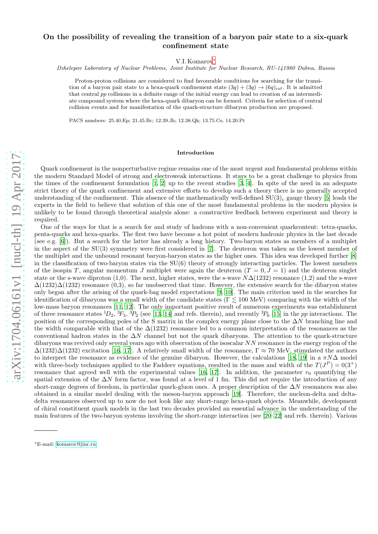# On the possibility of revealing the transition of a baryon pair state to a six-quark confinement state

V.I. Komarov[∗](#page-0-0)

Dzhelepov Laboratory of Nuclear Problems, Joint Institute for Nuclear Research, RU-141980 Dubna, Russia

Proton-proton collisions are considered to find favourable conditions for searching for the transition of a baryon pair state to a hexa-quark confinement state  $(3q) + (3q) \rightarrow (6q)_{\text{cnf}}$ . It is admitted that central pp collisions in a definite range of the initial energy can lead to creation of an intermediate compound system where the hexa-quark dibaryon can be formed. Criteria for selection of central collision events and for manifestation of the quark-structure dibaryon production are proposed.

PACS numbers: 25.40.Ep; 21.45.Bc; 12.39.Jh; 12.38.Qk; 13.75.Cs; 14.20.Pt

### Introduction

Quark confinement in the nonperturbative regime remains one of the most urgent and fundamental problems within the modern Standard Model of strong and electroweak interactions. It stays to be a great challenge to physics from the times of the confinement formulation [\[1,](#page-5-0) [2](#page-5-1)] up to the recent studies [\[3](#page-5-2), [4\]](#page-5-3). In spite of the need in an adequate strict theory of the quark confinement and extensive efforts to develop such a theory there is no generally accepted understanding of the confinement. This absence of the mathematically well-defined  $SU(3)_c$  gauge theory [\[5\]](#page-5-4) leads the experts in the field to believe that solution of this one of the most fundamental problems in the modern physics is unlikely to be found through theoretical analysis alone: a constructive feedback between experiment and theory is required.

One of the ways for that is a search for and study of hadrons with a non-convenient quarkcontent: tetra-quarks, penta-quarks and hexa-quarks. The first two have become a hot point of modern hadronic physics in the last decade (see e.g. [\[6](#page-5-5)]). But a search for the latter has already a long history. Two-baryon states as members of a multiplet in the aspect of the SU(3) symmetry were first considered in [\[7\]](#page-5-6). The deuteron was taken as the lowest member of the multiplet and the unbound resonant baryon-baryon states as the higher ones. This idea was developed further [\[8](#page-5-7)] in the classification of two-baryon states via the SU(6) theory of strongly interacting particles. The lowest members of the isospin T, angular momentum J multiplet were again the deuteron  $(T = 0, J = 1)$  and the deuteron singlet state or the s-wave diproton (1,0). The next, higher states, were the s-wave  $N\Delta(1232)$  resonance (1,2) and the s-wave  $\Delta(1232)\Delta(1232)$  resonance (0,3), so far unobserved that time. However, the extensive search for the dibaryon states only began after the arising of the quark-bag model expectations [\[9,](#page-5-8) [10\]](#page-5-9). The main criterion used in the searches for identification of dibaryons was a small width of the candidate states ( $\Gamma \lesssim 100$  MeV) comparing with the width of the low-mass baryon resonances [\[11,](#page-5-10) [12\]](#page-5-11). The only important positive result of numerous experiments was establishment of three resonance states  ${}^{1}D_2$ ,  ${}^{3}F_3$ ,  ${}^{3}P_2$  (see [\[13](#page-5-12), [14\]](#page-5-13) and refs. therein), and recently  ${}^{3}P_0$  [\[15](#page-5-14)] in the pp interactions. The position of the corresponding poles of the S matrix in the complex energy plane close to the  $\Delta N$  branching line and the width comparable with that of the  $\Delta(1232)$  resonance led to a common interpretation of the resonances as the conventional hadron states in the  $\Delta N$  channel but not the quark dibaryons. The attention to the quark-structure dibaryons was revived only several years ago with observation of the isoscalar NN resonance in the energy region of the  $\Delta(1232)\Delta(1232)$  excitation [\[16,](#page-5-15) [17\]](#page-5-16). A relatively small width of the resonance,  $\Gamma \approx 70$  MeV, stimulated the authors to interpret the resonance as evidence of the genuine dibaryon. However, the calculations [\[18](#page-5-17), [19\]](#page-5-18) in a  $\pi N\Delta$  model with three-body techniques applied to the Faddeev equations, resulted in the mass and width of the  $T(J^P) = 0(3^+)$ resonance that agreed well with the experimental values [\[16,](#page-5-15) [17](#page-5-16)]. In addition, the parameter  $r_0$  quantifying the spatial extension of the  $\Delta N$  form factor, was found at a level of 1 fm. This did not require the introduction of any short-range degrees of freedom, in particular quark-gluon ones. A proper description of the  $\Delta N$  resonances was also obtained in a similar model dealing with the meson-baryon approach [\[19](#page-5-18)]. Therefore, the nucleon-delta and deltadelta resonances observed up to now do not look like any short-range hexa-quark objects. Meanwhile, development of chiral constituent quark models in the last two decades provided an essential advance in the understanding of the main features of the two-baryon systems involving the short-range interaction (see [\[20](#page-5-19)[–22\]](#page-5-20) and refs. therein). Various

<span id="page-0-0"></span><sup>∗</sup>E-mail: [komarov@jinr.ru](mailto:komarov@jinr.ru)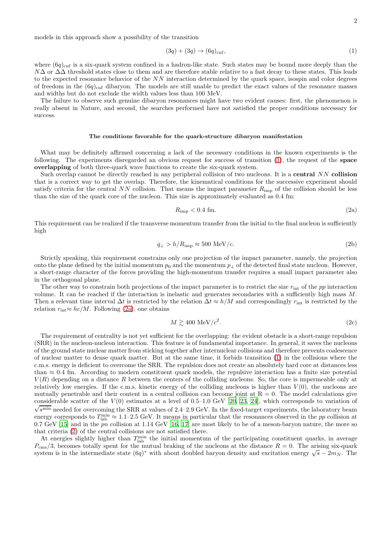models in this approach show a possibility of the transition

<span id="page-1-0"></span>
$$
(3q) + (3q) \rightarrow (6q)_{\text{cnf}},\tag{1}
$$

where  $(6q)_{\text{cnf}}$  is a six-quark system confined in a hadron-like state. Such states may be bound more deeply than the  $N\Delta$  or  $\Delta\Delta$  threshold states close to them and are therefore stable relative to a fast decay to these states. This leads to the expected resonance behavior of the NN interaction determined by the quark space, isospin and color degrees of freedom in the  $(6q)_{\text{cnf}}$  dibaryon. The models are still unable to predict the exact values of the resonance masses and widths but do not exclude the width values less than 100 MeV.

The failure to observe such genuine dibaryon resonances might have two evident causes: first, the phenomenon is really absent in Nature, and second, the searches performed have not satisfied the proper conditions necessary for success.

## The conditions favorable for the quark-structure dibaryon manifestation

What may be definitely affirmed concerning a lack of the necessary conditions in the known experiments is the following. The experiments disregarded an obvious request for success of transition [\(1\)](#page-1-0), the request of the space overlapping of both three-quark wave functions to create the six-quark system.

<span id="page-1-2"></span>Such overlap cannot be directly reached in any peripheral collision of two nucleons. It is a **central** NN **collision** that is a correct way to get the overlap. Therefore, the kinematical conditions for the successive experiment should satisfy criteria for the central NN collision. That means the impact parameter  $R_{\text{imp}}$  of the collision should be less than the size of the quark core of the nucleon. This size is approximately evaluated as 0.4 fm:

<span id="page-1-1"></span>
$$
R_{\rm imp} < 0.4 \, \text{fm}.\tag{2a}
$$

This requirement can be realized if the transverse momentum transfer from the initial to the final nucleon is sufficiently high

$$
q_{\perp} > h/R_{\rm imp} \approx 500 \text{ MeV}/c. \tag{2b}
$$

Strictly speaking, this requirement constrains only one projection of the impact parameter, namely, the projection onto the plane defined by the initial momentum  $p_0$  and the momentum  $p_{\perp}$  of the detected final state nucleon. However, a short-range character of the forces providing the high-momentum transfer requires a small impact parameter also in the orthogonal plane.

The other way to constrain both projections of the impact parameter is to restrict the size  $r_{\text{int}}$  of the pp interaction volume. It can be reached if the interaction is inelastic and generates secondaries with a sufficiently high mass M. Then a relevant time interval  $\Delta t$  is restricted by the relation  $\Delta t \approx h/M$  and correspondingly  $r_{\text{int}}$  is restricted by the relation  $r_{\text{int}} \approx hc/M$ . Following [\(2a\)](#page-1-1), one obtains

<span id="page-1-3"></span>
$$
M \gtrsim 400 \text{ MeV}/c^2. \tag{2c}
$$

The requirement of centrality is not yet sufficient for the overlapping: the evident obstacle is a short-range repulsion (SRR) in the nucleon-nucleon interaction. This feature is of fundamental importance. In general, it saves the nucleons of the ground state nuclear matter from sticking together after internuclear collisions and therefore prevents coalescence of nuclear matter to dense quark matter. But at the same time, it forbids transition [\(1\)](#page-1-0) in the collisions where the c.m.s. energy is deficient to overcome the SRR. The repulsion does not create an absolutely hard core at distances less than  $\approx 0.4$  fm. According to modern constituent quark models, the repulsive interaction has a finite size potential  $V(R)$  depending on a distance R between the centers of the colliding nucleons. So, the core is impermeable only at relatively low energies. If the c.m.s. kinetic energy of the colliding nucleons is higher than  $V(0)$ , the nucleons are mutually penetrable and their content in a central collision can become joint at  $R = 0$ . The model calculations give considerable scatter of the  $V(0)$  estimates at a level of 0.5–1.0 GeV [\[20](#page-5-19), [23](#page-5-21), [24\]](#page-5-22), which corresponds to variation of  $\sqrt{s^{\min}}$  needed for overcoming the SRR at values of 2.4–2.9 GeV. In the fixed-target experiments, the laboratory beam energy corresponds to  $T_{\text{lab}}^{\text{min}} \approx 1.1$ –2.5 GeV. It means in particular that the resonances observed in the pp collision at  $0.7 \,\text{GeV}$  [\[15\]](#page-5-14) and in the pn collision at 1.14 GeV [\[16,](#page-5-15) [17\]](#page-5-16) are most likely to be of a meson-baryon nature, the more so that criteria [\(2\)](#page-1-2) of the central collisions are not satisfied there.

At energies slightly higher than  $T_{\text{lab}}^{\text{min}}$  the initial momentum of the participating constituent quarks, in average  $P_{\rm cms}/3$ , becomes totally spent for the mutual braking of the nucleons at the distance  $R=0$ . The arising six-quark system is in the intermediate state  $(6q)^*$  with about doubled baryon density and excitation energy  $\sqrt{s} - 2m_N$ . The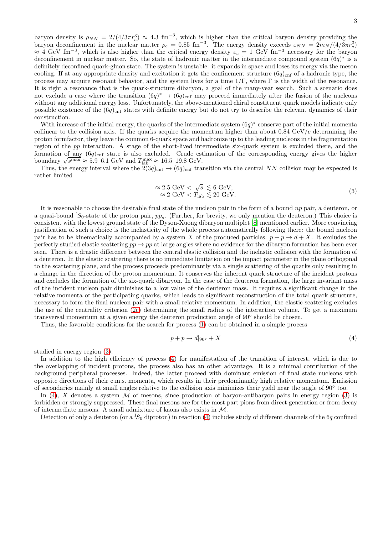3

baryon density is  $\rho_{NN} = 2/(4/3\pi r_c^3) \approx 4.3 \text{ fm}^{-3}$ , which is higher than the critical baryon density providing the baryon deconfinement in the nuclear matter  $\rho_c = 0.85 \text{ fm}^{-3}$ . The energy density exceeds  $\varepsilon_{NN} = 2m_N$  $\approx$  4 GeV fm<sup>-3</sup>, which is also higher than the critical energy density  $\varepsilon_c = 1$  GeV fm<sup>-3</sup> necessary for the baryon deconfinement in nuclear matter. So, the state of hadronic matter in the intermediate compound system  $(6q)^*$  is a definitely deconfined quark-gluon state. The system is unstable: it expands in space and loses its energy via the meson cooling. If at any appropriate density and excitation it gets the confinement structure  $(6q)_{\text{cnf}}$  of a hadronic type, the process may acquire resonant behavior, and the system lives for a time  $1/\Gamma$ , where  $\Gamma$  is the width of the resonance. It is right a resonance that is the quark-structure dibaryon, a goal of the many-year search. Such a scenario does not exclude a case where the transition  $(6q)^* \rightarrow (6q)_{\text{cnf}}$  may proceed immediately after the fusion of the nucleons without any additional energy loss. Unfortunately, the above-mentioned chiral constituent quark models indicate only possible existence of the  $(6q)_{\text{cnf}}$  states with definite energy but do not try to describe the relevant dynamics of their construction.

With increase of the initial energy, the quarks of the intermediate system  $(6q)^*$  conserve part of the initial momenta collinear to the collision axis. If the quarks acquire the momentum higher than about  $0.84 \text{ GeV}/c$  determining the proton formfactor, they leave the common 6-quark space and hadronize up to the leading nucleons in the fragmentation region of the pp interaction. A stage of the short-lived intermediate six-quark system is excluded there, and the formation of any  $(6q)_{\text{cnf}}$  state is also excluded. Crude estimation of the corresponding energy gives the higher boundary  $\sqrt{s^{\max}} \approx 5.9-6.1$  GeV and  $T_{\text{lab}}^{\text{max}} \approx 16.5-19.8$  GeV.

Thus, the energy interval where the  $2(3q)_{\text{cnf}} \rightarrow (6q)_{\text{cnf}}$  transition via the central NN collision may be expected is rather limited

<span id="page-2-0"></span>
$$
\approx 2.5 \text{ GeV} < \sqrt{s} \lesssim 6 \text{ GeV};
$$
\n
$$
\approx 2 \text{ GeV} < T_{\text{lab}} \lesssim 20 \text{ GeV}. \tag{3}
$$

It is reasonable to choose the desirable final state of the nucleon pair in the form of a bound np pair, a deuteron, or a quasi-bound  ${}^{1}S_{0}$ -state of the proton pair,  $pp_{s}$ . (Further, for brevity, we only mention the deuteron.) This choice is consistent with the lowest ground state of the Dyson-Xuong dibaryon multiplet [\[8\]](#page-5-7) mentioned earlier. More convincing justification of such a choice is the inelasticity of the whole process automatically following there: the bound nucleon pair has to be kinematically accompanied by a system X of the produced particles:  $p + p \rightarrow d + X$ . It excludes the perfectly studied elastic scattering  $pp \to pp$  at large angles where no evidence for the dibaryon formation has been ever seen. There is a drastic difference between the central elastic collision and the inelastic collision with the formation of a deuteron. In the elastic scattering there is no immediate limitation on the impact parameter in the plane orthogonal to the scattering plane, and the process proceeds predominantly via a single scattering of the quarks only resulting in a change in the direction of the proton momentum. It conserves the inherent quark structure of the incident protons and excludes the formation of the six-quark dibaryon. In the case of the deuteron formation, the large invariant mass of the incident nucleon pair diminishes to a low value of the deuteron mass. It requires a significant change in the relative momenta of the participating quarks, which leads to significant reconstruction of the total quark structure, necessary to form the final nucleon pair with a small relative momentum. In addition, the elastic scattering excludes the use of the centrality criterion [\(2c\)](#page-1-3) determining the small radius of the interaction volume. To get a maximum transversal momentum at a given energy the deuteron production angle of 90◦ should be chosen.

Thus, the favorable conditions for the search for process [\(1\)](#page-1-0) can be obtained in a simple process

<span id="page-2-1"></span>
$$
p + p \to d|_{90^\circ} + X \tag{4}
$$

studied in energy region [\(3\)](#page-2-0).

In addition to the high efficiency of process [\(4\)](#page-2-1) for manifestation of the transition of interest, which is due to the overlapping of incident protons, the process also has an other advantage. It is a minimal contribution of the background peripheral processes. Indeed, the latter proceed with dominant emission of final state nucleons with opposite directions of their c.m.s. momenta, which results in their predominantly high relative momentum. Emission of secondaries mainly at small angles relative to the collision axis minimizes their yield near the angle of 90° too.

In  $(4)$ , X denotes a system M of mesons, since production of baryon-antibaryon pairs in energy region  $(3)$  is forbidden or strongly suppressed. These final mesons are for the most part pions from direct generation or from decay of intermediate mesons. A small admixture of kaons also exists in M.

Detection of only a deuteron (or a  ${}^{1}S_0$  diproton) in reaction [\(4\)](#page-2-1) includes study of different channels of the 6q confined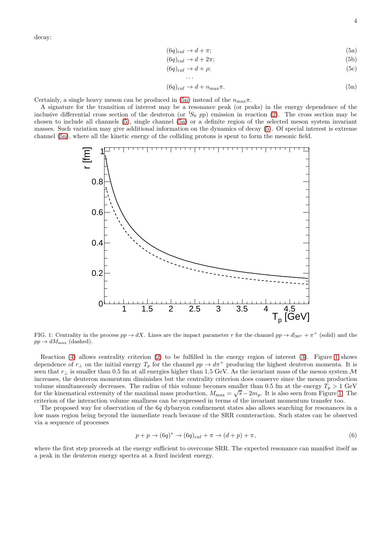<span id="page-3-1"></span>decay:

$$
(6q)_{\text{cnf}} \to d + \pi; \tag{5a}
$$

<span id="page-3-2"></span>
$$
(6q)_{\rm cnf} \to d + 2\pi; \tag{5b}
$$

$$
(6q)_{\text{cnf}} \to d + \rho; \tag{5c}
$$

<span id="page-3-0"></span>
$$
(6q)_{\rm cnf} \to d + n_{\rm max}\pi. \tag{5n}
$$

Certainly, a single heavy meson can be produced in [\(5n\)](#page-3-0) instead of the  $n_{\text{max}}\pi$ .

A signature for the transition of interest may be a resonance peak (or peaks) in the energy dependence of the inclusive differential cross section of the deuteron (or  ${}^{1}S_{0}$  pp) emission in reaction [\(2\)](#page-1-2). The cross section may be chosen to include all channels [\(5\)](#page-3-1), single channel [\(5a\)](#page-3-2) or a definite region of the selected meson system invariant masses. Such variation may give additional information on the dynamics of decay [\(5\)](#page-3-1). Of special interest is extreme channel [\(5n\)](#page-3-0), where all the kinetic energy of the colliding protons is spent to form the mesonic field.



<span id="page-3-3"></span>FIG. 1: Centrality in the process  $pp \to dX$ . Lines are the impact parameter r for the channel  $pp \to d|_{90^{\circ}} + \pi^+$  (solid) and the  $pp \rightarrow dM_{\text{max}}$  (dashed).

Reaction  $(4)$  allows centrality criterion  $(2)$  to be fulfilled in the energy region of interest  $(3)$ . Figure [1](#page-3-3) shows dependence of  $r_{\perp}$  on the initial energy  $T_p$  for the channel  $pp \to d\pi^+$  producing the highest deuteron momenta. It is seen that r⊥ is smaller than 0.5 fm at all energies higher than 1.5 GeV. As the invariant mass of the meson system M increases, the deuteron momentum diminishes but the centrality criterion does conserve since the meson production volume simultaneously decreases. The radius of this volume becomes smaller than 0.5 fm at the energy  $T_p > 1$  GeV for the kinematical extremity of the maximal mass production,  $M_{\text{max}} = \sqrt{s} - 2m_p$ . It is also seen from Figure [1.](#page-3-3) The criterion of the interaction volume smallness can be expressed in terms of the invariant momentum transfer too.

The proposed way for observation of the 6q dybaryon confinement states also allows searching for resonances in a low mass region being beyond the immediate reach because of the SRR counteraction. Such states can be observed via a sequence of processes

$$
p + p \rightarrow (6q)^{*} \rightarrow (6q)_{\text{cnf}} + \pi \rightarrow (d+p) + \pi,
$$
\n(6)

where the first step proceeds at the energy sufficient to overcome SRR. The expected resonance can manifest itself as a peak in the deuteron energy spectra at a fixed incident energy.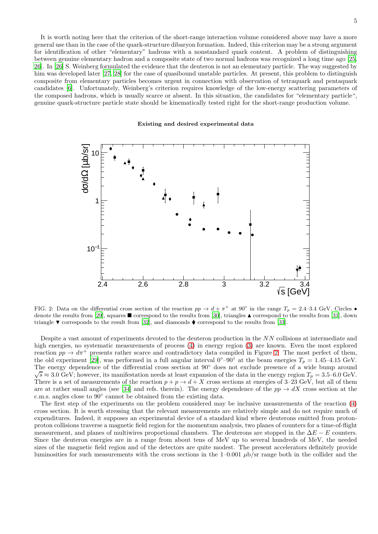It is worth noting here that the criterion of the short-range interaction volume considered above may have a more general use than in the case of the quark-structure dibaryon formation. Indeed, this criterion may be a strong argument for identification of other "elementary" hadrons with a nonstandard quark content. A problem of distinguishing between genuine elementary hadron and a composite state of two normal hadrons was recognized a long time ago [\[25](#page-6-0), [26\]](#page-6-1). In [\[26\]](#page-6-1) S. Weinberg formulated the evidence that the deuteron is not an elementary particle. The way suggested by him was developed later [\[27,](#page-6-2) [28\]](#page-6-3) for the case of quasibound unstable particles. At present, this problem to distinguish composite from elementary particles becomes urgent in connection with observation of tetraquark and pentaquark candidates [\[6](#page-5-5)]. Unfortunately, Weinberg's criterion requires knowledge of the low-energy scattering parameters of the composed hadrons, which is usually scarce or absent. In this situation, the candidates for "elementary particle", genuine quark-structure particle state should be kinematically tested right for the short-range production volume.

### Existing and desired experimental data



<span id="page-4-0"></span>FIG. 2: Data on the differential cross section of the reaction  $pp \to d + \pi^+$  at 90° in the range  $T_p = 2.4$ -3.4 GeV. Circles • denote the results from [\[29](#page-6-4)], squares  $\blacksquare$  correspond to the results from [\[30\]](#page-6-5), triangles  $\blacktriangle$  correspond to the results from [\[31](#page-6-6)], down triangle  $\blacktriangledown$  corresponds to the result from [\[32](#page-6-7)], and diamonds  $\blacklozenge$  correspond to the results from [\[33\]](#page-6-8).

Despite a vast amount of experiments devoted to the deuteron production in the NN collisions at intermediate and high energies, no systematic measurements of process [\(4\)](#page-2-1) in energy region [\(3\)](#page-2-0) are known. Even the most explored reaction  $pp \to d\pi^+$  presents rather scarce and contradictory data compiled in Figure [2.](#page-4-0) The most perfect of them, the old experiment [\[29\]](#page-6-4), was performed in a full angular interval  $0°-90°$  at the beam energies  $T_p = 1.45-4.15$  GeV. The energy dependence of the differential cross section at 90° does not exclude presence of a wide bump around  $\sqrt{s} \approx 3.0 \text{ GeV};$  however, its manifestation needs at least expansion of the data in the energy region  $T_p = 3.5-6.0 \text{ GeV}.$ There is a set of measurements of the reaction  $p + p \rightarrow d + X$  cross sections at energies of 3–23 GeV, but all of them are at rather small angles (see [\[34](#page-6-9)] and refs. therein). The energy dependence of the  $pp \to dX$  cross section at the c.m.s. angles close to  $90^{\circ}$  cannot be obtained from the existing data.

The first step of the experiments on the problem considered may be inclusive measurements of the reaction [\(4\)](#page-2-1) cross section. It is worth stressing that the relevant measurements are relatively simple and do not require much of expenditures. Indeed, it supposes an experimental device of a standard kind where deuterons emitted from protonproton collisions traverse a magnetic field region for the momentum analysis, two planes of counters for a time-of-flight measurement, and planes of multiwires proportional chambers. The deuterons are stopped in the  $\Delta E - E$  counters. Since the deuteron energies are in a range from about tens of MeV up to several hundreds of MeV, the needed sizes of the magnetic field region and of the detectors are quite modest. The present accelerators definitely provide luminosities for such measurements with the cross sections in the  $1-0.001 \mu$ b/sr range both in the collider and the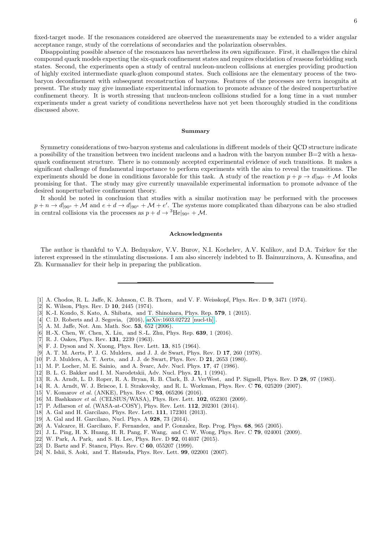fixed-target mode. If the resonances considered are observed the measurements may be extended to a wider angular acceptance range, study of the correlations of secondaries and the polarization observables.

Disappointing possible absence of the resonances has nevertheless its own significance. First, it challenges the chiral compound quark models expecting the six-quark confinement states and requires elucidation of reasons forbidding such states. Second, the experiments open a study of central nucleon-nucleon collisions at energies providing production of highly excited intermediate quark-gluon compound states. Such collisions are the elementary process of the twobaryon deconfinement with subsequent reconstruction of baryons. Features of the processes are terra incognita at present. The study may give immediate experimental information to promote advance of the desired nonperturbative confinement theory. It is worth stressing that nucleon-nucleon collisions studied for a long time in a vast number experiments under a great variety of conditions nevertheless have not yet been thoroughly studied in the conditions discussed above.

### Summary

Symmetry considerations of two-baryon systems and calculations in different models of their QCD structure indicate a possibility of the transition between two incident nucleons and a hadron with the baryon number  $B=2$  with a hexaquark confinement structure. There is no commonly accepted experimental evidence of such transitions. It makes a significant challenge of fundamental importance to perform experiments with the aim to reveal the transitions. The experiments should be done in conditions favorable for this task. A study of the reaction  $p + p \rightarrow d|_{90°} + M$  looks promising for that. The study may give currently unavailable experimental information to promote advance of the desired nonperturbative confinement theory.

It should be noted in conclusion that studies with a similar motivation may be performed with the processes  $p + n \rightarrow d|_{90\degree} + \mathcal{M}$  and  $e + d \rightarrow d|_{90\degree} + \mathcal{M} + e'$ . The systems more complicated than dibaryons can be also studied in central collisions via the processes as  $p + d \rightarrow {}^{3}He|_{90\degree} + \mathcal{M}$ .

#### Acknowledgments

The author is thankful to V.A. Bednyakov, V.V. Burov, N.I. Kochelev, A.V. Kulikov, and D.A. Tsirkov for the interest expressed in the stimulating discussions. I am also sincerely indebted to B. Baimurzinova, A. Kunsafina, and Zh. Kurmanaliev for their help in preparing the publication.

- <span id="page-5-0"></span>[1] A. Chodos, R. L. Jaffe, K. Johnson, C. B. Thorn, and V. F. Weisskopf, Phys. Rev. D 9, 3471 (1974).
- <span id="page-5-1"></span>[2] K. Wilson, Phys. Rev. D 10, 2445 (1974).
- <span id="page-5-2"></span>[3] K.-I. Kondo, S. Kato, A. Shibata, and T. Shinohara, Phys. Rep. 579, 1 (2015).
- <span id="page-5-3"></span>[4] C. D. Roberts and J. Segovia, (2016), [arXiv:1603.02722 \[nucl-th\]](http://arxiv.org/abs/1603.02722).
- <span id="page-5-4"></span>[5] A. M. Jaffe, Not. Am. Math. Soc. 53, 652 (2006).
- <span id="page-5-5"></span>[6] H.-X. Chen, W. Chen, X. Liu, and S.-L. Zhu, Phys. Rep. 639, 1 (2016).
- <span id="page-5-6"></span>[7] R. J. Oakes, Phys. Rev. 131, 2239 (1963).
- <span id="page-5-7"></span>[8] F. J. Dyson and N. Xuong, Phys. Rev. Lett. 13, 815 (1964).
- <span id="page-5-8"></span>[9] A. T. M. Aerts, P. J. G. Mulders, and J. J. de Swart, Phys. Rev. D 17, 260 (1978).
- <span id="page-5-9"></span>[10] P. J. Mulders, A. T. Aerts, and J. J. de Swart, Phys. Rev. D 21, 2653 (1980).
- <span id="page-5-10"></span> $[11]$  M. P. Locher, M. E. Sainio, and A. Švarc, Adv. Nucl. Phys. 17, 47 (1986).
- <span id="page-5-11"></span>[12] B. L. G. Bakker and I. M. Narodetskii, Adv. Nucl. Phys. 21, 1 (1994).
- <span id="page-5-12"></span>[13] R. A. Arndt, L. D. Roper, R. A. Bryan, R. B. Clark, B. J. VerWest, and P. Signell, Phys. Rev. D 28, 97 (1983).
- <span id="page-5-13"></span>[14] R. A. Arndt, W. J. Briscoe, I. I. Strakovsky, and R. L. Workman, Phys. Rev. C 76, 025209 (2007).
- <span id="page-5-14"></span>[15] V. Komarov *et al.* (ANKE), Phys. Rev. C **93**, 065206 (2016).
- <span id="page-5-15"></span>[16] M. Bashkanov et al. (CELSIUS/WASA), Phys. Rev. Lett. **102**, 052301 (2009).
- <span id="page-5-16"></span>[17] P. Adlarson et al. (WASA-at-COSY), Phys. Rev. Lett. **112**, 202301 (2014).
- <span id="page-5-17"></span>[18] A. Gal and H. Garcilazo, Phys. Rev. Lett. **111**, 172301 (2013).
- <span id="page-5-18"></span>[19] A. Gal and H. Garcilazo, Nucl. Phys. A **928**, 73 (2014).
- <span id="page-5-19"></span>[20] A. Valcarce, H. Garcilazo, F. Fernandez, and P. Gonzalez, Rep. Prog. Phys. 68, 965 (2005).
- [21] J. L. Ping, H. X. Huang, H. R. Pang, F. Wang, and C. W. Wong, Phys. Rev. C **79**, 024001 (2009).
- <span id="page-5-20"></span>[22] W. Park, A. Park, and S. H. Lee, Phys. Rev. D **92**, 014037 (2015).
- <span id="page-5-21"></span>[23] D. Bartz and F. Stancu, Phys. Rev. C 60, 055207 (1999).
- <span id="page-5-22"></span>[24] N. Ishii, S. Aoki, and T. Hatsuda, Phys. Rev. Lett. 99, 022001 (2007).